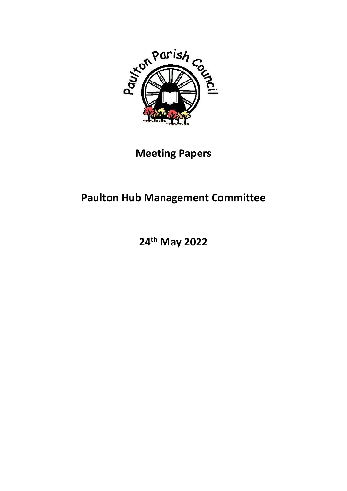

## **Meeting Papers**

## **Paulton Hub Management Committee**

**24th May 2022**